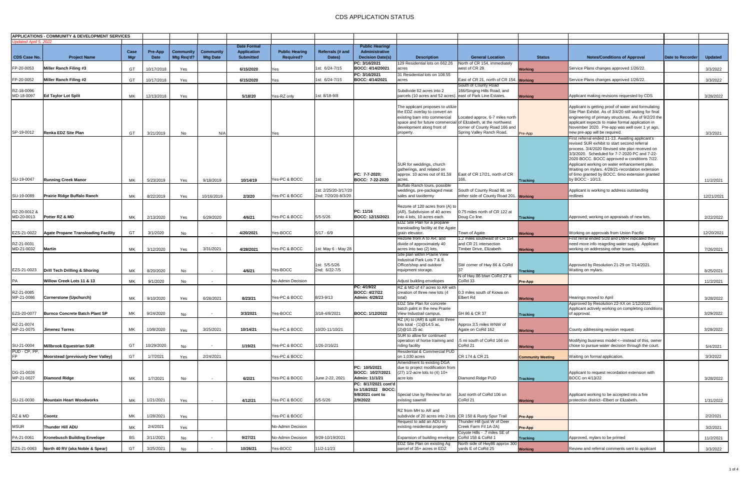|                      | <b>APPLICATIONS - COMMUNITY &amp; DEVELOPMENT SERVICES</b> |      |            |                  |                  |                    |                       |                      |                                         |                                                                    |                                                         |                          |                                                                                                                |                         |                |
|----------------------|------------------------------------------------------------|------|------------|------------------|------------------|--------------------|-----------------------|----------------------|-----------------------------------------|--------------------------------------------------------------------|---------------------------------------------------------|--------------------------|----------------------------------------------------------------------------------------------------------------|-------------------------|----------------|
| odated April 5, 2022 |                                                            |      |            |                  |                  | <b>Date Formal</b> |                       |                      | <b>Public Hearing/</b>                  |                                                                    |                                                         |                          |                                                                                                                |                         |                |
|                      |                                                            | Case | Pre-App    | <b>Community</b> | <b>Community</b> | <b>Application</b> | <b>Public Hearing</b> | Referrals (# and     | Administrative                          |                                                                    |                                                         |                          |                                                                                                                |                         |                |
| <b>CDS Case No.</b>  | <b>Project Name</b>                                        | Mar  | Date       | Mtg Req'd?       | <b>Mtg Date</b>  | <b>Submitted</b>   | <b>Required?</b>      | Dates)               | <b>Decision Date(s)</b>                 | <b>Description</b>                                                 | <b>General Location</b>                                 | <b>Status</b>            | <b>Notes/Conditions of Approval</b>                                                                            | <b>Date to Recorder</b> | <b>Updated</b> |
|                      |                                                            |      |            |                  |                  |                    |                       |                      | PC: 3/16/2021                           | 129 Residential lots on 662.26                                     | North of CR 154, immediately                            |                          |                                                                                                                |                         |                |
| FP-20-0053           | Miller Ranch Filing #3                                     | GT   | 10/17/2018 | Yes              |                  | 6/15/2020          | Yes                   | lst: 6/24-7/15       | BOCC: 4/14/20021                        | acres                                                              | west of CR 29.                                          | <b>Working</b>           | Service Plans changes approved 1/26/22.                                                                        |                         | 3/3/2022       |
| FP-20-0052           | Miller Ranch Filing #2                                     |      |            |                  |                  |                    |                       | lst: 6/24-7/15       | PC: 3/16/2021<br><b>BOCC: 4/14/2021</b> | 31 Residential lots on 108.55<br>acres                             | East of CR 21, north of CR 154. Working                 |                          |                                                                                                                |                         |                |
|                      |                                                            | GT   | 10/17/2018 | Yes              |                  | 6/15/2020          | Yes                   |                      |                                         |                                                                    | South of County Road                                    |                          | Service Plans changes approved 1/26/22.                                                                        |                         | 3/3/2022       |
| RZ-18-0096           |                                                            |      |            |                  |                  |                    |                       |                      |                                         | Subdivide 62 acres into 2                                          | 166/Singing Hills Road, and                             |                          |                                                                                                                |                         |                |
| MD-18-0097           | <b>Ed Taylor Lot Split</b>                                 | МK   | 12/13/2018 | Yes              |                  | 5/18/20            | Yes-RZ only           | 1st: 8/18-9/8        |                                         | parcels (10 acres and 52 acres). east of Park Line Estates.        |                                                         | <b>Working</b>           | Applicant making revisions requested by CDS                                                                    |                         | 3/28/2022      |
|                      |                                                            |      |            |                  |                  |                    |                       |                      |                                         |                                                                    |                                                         |                          |                                                                                                                |                         |                |
|                      |                                                            |      |            |                  |                  |                    |                       |                      |                                         | The applicant proposes to utilize<br>the EDZ overlay to convert an |                                                         |                          | Applicant is getting proof of water and formulating<br>Site Plan Exhibit. As of 3/4/20 still waiting for final |                         |                |
|                      |                                                            |      |            |                  |                  |                    |                       |                      |                                         | existing barn into commercial                                      | Located approx. 6-7 miles north                         |                          | engineering of primary structures. As of 9/2/20 the                                                            |                         |                |
|                      |                                                            |      |            |                  |                  |                    |                       |                      |                                         | space and for future commercial of Elizabeth, at the northwest     |                                                         |                          | applicant expects to make formal application in                                                                |                         |                |
|                      |                                                            |      |            |                  |                  |                    |                       |                      |                                         | development along front of                                         | corner of County Road 166 and                           |                          | November 2020. Pre-app was well over 1 yr ago,                                                                 |                         |                |
| SP-19-0012           | Renka EDZ Site Plan                                        | GT   | 3/21/2019  | No               | N/A              |                    | Yes                   |                      |                                         | property.                                                          | Spring Valley Ranch Road.                               | Pre-App                  | new pre-app will be required.                                                                                  |                         | 3/3/2021       |
|                      |                                                            |      |            |                  |                  |                    |                       |                      |                                         |                                                                    |                                                         |                          | First referral ended 11-13. Awaiting applicant's                                                               |                         |                |
|                      |                                                            |      |            |                  |                  |                    |                       |                      |                                         |                                                                    |                                                         |                          | revised SUR exhibit to start second referral<br>process. 3/4/2020 Revised site plan received on                |                         |                |
|                      |                                                            |      |            |                  |                  |                    |                       |                      |                                         |                                                                    |                                                         |                          | 3/3/2020. Scheduled for 7-7-2020 PC and 7-22-                                                                  |                         |                |
|                      |                                                            |      |            |                  |                  |                    |                       |                      |                                         |                                                                    |                                                         |                          | 2020 BOCC. BOCC approved w conditions 7/22.                                                                    |                         |                |
|                      |                                                            |      |            |                  |                  |                    |                       |                      |                                         | SUR for weddings, church                                           |                                                         |                          | Applicant working on water enhancement plan.                                                                   |                         |                |
|                      |                                                            |      |            |                  |                  |                    |                       |                      |                                         | gatherings, and related on                                         |                                                         |                          | Waiting on mylars. 4/28/21-recordation extension                                                               |                         |                |
| SU-19-0047           | <b>Running Creek Manor</b>                                 | МK   | 5/23/2019  | Yes              | 9/18/2019        | 10/14/19           | Yes-PC & BOCC         | 1st:                 | PC: 7-7-2020:<br>BOCC: 7-22-2020        | approx. 10 acres out of 81.59<br>acres.                            | East of CR 17/21, north of CR<br>166.                   |                          | of 6mo granted by BOCC. 6mo extension granted<br>by BOCC - 10/13.                                              |                         |                |
|                      |                                                            |      |            |                  |                  |                    |                       |                      |                                         | Buffalo Ranch tours, possible                                      |                                                         | <b>Tracking</b>          |                                                                                                                |                         | 11/2/2021      |
|                      |                                                            |      |            |                  |                  |                    |                       | 1st: 2/25/20-3/17/20 |                                         | weddings, pre-packaged meat                                        | South of County Road 98, on                             |                          | Applicant is working to address outstanding                                                                    |                         |                |
| SU-19-0089           | Prairie Ridge Buffalo Ranch                                | МK   | 8/22/2019  | Yes              | 10/16/2019       | 2/3/20             | Yes-PC & BOCC         | 2nd: 7/20/20-8/3/20  |                                         | sales and taxidermy                                                | either side of County Road 201. Working                 |                          | redlines                                                                                                       |                         | 12/21/2021     |
|                      |                                                            |      |            |                  |                  |                    |                       |                      |                                         |                                                                    |                                                         |                          |                                                                                                                |                         |                |
| RZ-20-0012 &         |                                                            |      |            |                  |                  |                    |                       |                      | PC: 11/16                               | Rezone of 120 acres from (A) to<br>(AR). Subdivision of 40 acres   | 0.75 miles north of CR 122 at                           |                          |                                                                                                                |                         |                |
| MD-20-0013           | Potter RZ & MD                                             | МK   | 2/13/2020  | Yes              | 6/29/2020        | 4/6/21             | Yes-PC & BOCC         | 5/5-5/26             | BOCC: 12/15/2021                        | into 4 lots, 10 acres each.                                        | Doug Co line.                                           | <b>Tracking</b>          | Approved; working on appraisals of new lots.                                                                   |                         | 2/22/2022      |
|                      |                                                            |      |            |                  |                  |                    |                       |                      |                                         | EDZ Site Plan for a propane                                        |                                                         |                          |                                                                                                                |                         |                |
|                      |                                                            |      |            |                  |                  |                    |                       |                      |                                         | transloading facility at the Agate                                 |                                                         |                          |                                                                                                                |                         |                |
| EZS-21-0022          | <b>Agate Propane Transloading Facility</b>                 | GT   | 3/1/2020   | No               |                  | 4/20/2021          | Yes-BOCC              | 5/17 - 6/9           |                                         | grain elevator.                                                    | Town of Agate                                           | <b>Working</b>           | Working on approvals from Union Pacific                                                                        |                         | 12/20/2021     |
| RZ-21-0031           |                                                            |      |            |                  |                  |                    |                       |                      |                                         | Rezone from A to AR, and<br>divide of approximately 40             | 1.2 miles southeast of CR 154<br>and CR 21 intersection |                          | First rerral ended 5/28 and DWR indicated they<br>need more info reagrding water supply. Applicant             |                         |                |
| MD-21-0032           | <b>Martin</b>                                              | МK   | 3/12/2020  | Yes              | 3/31/2021        | 4/28/2021          | Yes-PC & BOCC         | Ist: May 6 - May 28  |                                         | acres into two (2) lots.                                           | Timber Drive, Elizabeth                                 | <b>Working</b>           | working on addressing other issues.                                                                            |                         | 7/26/2021      |
|                      |                                                            |      |            |                  |                  |                    |                       |                      |                                         | Site plan within Prairie View                                      |                                                         |                          |                                                                                                                |                         |                |
|                      |                                                            |      |            |                  |                  |                    |                       |                      |                                         | Industrial Park Lots 7 & 8.                                        |                                                         |                          |                                                                                                                |                         |                |
|                      |                                                            |      |            |                  |                  |                    | Yes-BOCC              | 1st: 5/5-5/26        |                                         | Office/shop and outdoor                                            | SW corner of Hwy 86 & CoRd                              |                          | Approved by Resolution 21-29 on 7/14/2021.                                                                     |                         |                |
| EZS-21-0023          | Drill Tech Drilling & Shoring                              | МK   | 8/20/2020  | No               |                  | 4/6/21             |                       | 2nd: 6/22-7/5        |                                         | equipment storage.                                                 | N of Hwy 86 btwn CoRd 27 &                              | <b>Tracking</b>          | Waiting on mylars.                                                                                             |                         | 8/25/2021      |
| PA                   | Willow Creek Lots 11 & 13                                  | МK   | 9/1/2020   | No               |                  |                    | No-Admin Decision     |                      |                                         | Adjust building envelopes                                          | CoRd 33                                                 | <b>Pre-App</b>           |                                                                                                                |                         | 11/2/2021      |
|                      |                                                            |      |            |                  |                  |                    |                       |                      | PC: 4/19/22                             | RZ & MD of 47 acres to AR with                                     |                                                         |                          |                                                                                                                |                         |                |
| RZ-21-0085           |                                                            |      |            |                  |                  |                    |                       |                      | <b>BOCC: 4/27/22</b>                    | creation of three new lots (4                                      | 0.3 miles south of Kiowa on                             |                          |                                                                                                                |                         |                |
| MP-21-0086           | Cornerstone (Upchurch)                                     | МK   | 9/10/2020  | Yes              | 6/28/2021        | 8/23/21            | Yes-PC & BOCC         | 8/23-9/13            | Admin: 4/28/22                          | total)                                                             | Elbert Rd                                               | <b>Working</b>           | Hearings moved to April                                                                                        |                         | 3/28/2022      |
|                      |                                                            |      |            |                  |                  |                    |                       |                      |                                         | EDZ Site Plan for concrete<br>batch paint in the new Prairie       |                                                         |                          | Approved by Resolution 22-XX on 1/12/2022.<br>Applicant actively working on completing conditions              |                         |                |
| EZS-20-0077          | <b>Burnco Concrete Batch Plant SP</b>                      | МK   | 9/24/2020  | No               |                  | 3/3/2021           | Yes-BOCC              | 3/18-4/8/2021        | BOCC: 1/12/2022                         | View Industrail campus.                                            | SH 86 & CR 37                                           | <b>Tracking</b>          | of approval.                                                                                                   |                         | 3/29/2022      |
|                      |                                                            |      |            |                  |                  |                    |                       |                      |                                         | RZ (A) to (AR) & split into three                                  |                                                         |                          |                                                                                                                |                         |                |
| RZ-21-0074           |                                                            |      |            |                  |                  |                    |                       |                      |                                         | lots total - $(1)@14.5$ ac,                                        | Approx 3.5 miles WNW of                                 |                          |                                                                                                                |                         |                |
| MP-21-0075           | <b>Jimenez Torres</b>                                      | МK   | 10/8/2020  | Yes              | 3/25/2021        | 10/14/21           | Yes-PC & BOCC         | 10/20-11/10/21       |                                         | $(2)@10.25$ ac<br>SUR to allow for continued                       | Agate on CoRd 162                                       | <b>Working</b>           | County addressing revision request                                                                             |                         | 3/28/2022      |
|                      |                                                            |      |            |                  |                  |                    |                       |                      |                                         | operation of horse training and                                    | .5 mi south of CoRd 166 on                              |                          | Modifying business model <--instead of this, owner                                                             |                         |                |
| SU-21-0004           | <b>Millbrook Equestrian SUR</b>                            | GT   | 10/29/2020 | No               |                  | 1/19/21            | Yes-PC & BOCC         | 1/26-2/16/21         |                                         | riding facility                                                    | CoRd 21                                                 | <b>Working</b>           | chose to pursue water decision through the court.                                                              |                         | 5/4/2021       |
| PUD - CP, PP,        |                                                            |      |            |                  |                  |                    |                       |                      |                                         | Residential & Commercial PUD                                       |                                                         |                          |                                                                                                                |                         |                |
| P.                   | <b>Moorstead (previously Deer Valley)</b>                  | GT   | 1/7/2021   | Yes              | 2/24/2021        |                    | Yes-PC & BOCC         |                      |                                         | on 1,030 acres                                                     | CR 174 & CR 21                                          | <b>Community Meeting</b> | Waiting on formal application.                                                                                 |                         | 3/3/2022       |
|                      |                                                            |      |            |                  |                  |                    |                       |                      | PC: 10/5/2021                           | Amendment to existing DGA<br>due to project modification from      |                                                         |                          |                                                                                                                |                         |                |
| DG-21-0026           |                                                            |      |            |                  |                  |                    |                       |                      | BOCC: 10/27/2021                        | $(27)$ 1/2-acre lots to $(4)$ 10+                                  |                                                         |                          | Applicant to request recordation extension with                                                                |                         |                |
| MP-21-0027           | <b>Diamond Ridge</b>                                       | МK   | 1/7/2021   | No               |                  | 6/2/21             | Yes-PC & BOCC         | June 2-22, 2021      | Admin: 11/1/21                          | acre lots                                                          | Diamond Ridge PUD                                       | <b>Tracking</b>          | BOCC on 4/13/22                                                                                                |                         | 3/28/2022      |
|                      |                                                            |      |            |                  |                  |                    |                       |                      | PC: 8/17/2021 cont'd                    |                                                                    |                                                         |                          |                                                                                                                |                         |                |
|                      |                                                            |      |            |                  |                  |                    |                       |                      | to 1/18/2022 BOCC:                      |                                                                    |                                                         |                          |                                                                                                                |                         |                |
| SU-21-0030           | <b>Mountain Heart Woodworks</b>                            |      | 1/21/2021  |                  |                  |                    | Yes-PC & BOCC         | 5/5-5/26             | 9/8/2021 cont to<br>2/9/2022            | Special Use by Review for an<br>existing sawmill                   | Just north of CoRd 106 on<br>CoRd 21                    |                          | Applicant working to be accepted into a fire<br>protection district--Elbert or Elizabeth.                      |                         |                |
|                      |                                                            | МK   |            | Yes              |                  | 4/12/21            |                       |                      |                                         |                                                                    |                                                         | <b>Working</b>           |                                                                                                                |                         | 1/31/2022      |
|                      |                                                            |      |            |                  |                  |                    |                       |                      |                                         | RZ from MH to AR and                                               |                                                         |                          |                                                                                                                |                         |                |
| RZ & MD              | Coontz                                                     | MK   | 1/28/2021  | Yes              |                  |                    | Yes-PC & BOCC         |                      |                                         | subdivide of 20 acres into 2 lots CR 150 & Rusty Spur Trail        |                                                         | <b>Pre-App</b>           |                                                                                                                |                         | 2/2/2021       |
|                      |                                                            |      |            |                  |                  |                    |                       |                      |                                         | Request to add an ADU to                                           | Thunder Hill (just W of Deer                            |                          |                                                                                                                |                         |                |
| MSUR                 | Thunder Hill ADU                                           | МK   | 2/4/2021   | Yes              |                  |                    | No-Admin Decision     |                      |                                         | existing residential property                                      | Creek Farm Fil 1A-2A)<br>Coyote Hills - .7 miles SE of  | <b>Pre-App</b>           |                                                                                                                |                         | 3/2/2021       |
| PA-21-0061           | <b>Kronebusch Building Envelope</b>                        | BS   | 3/11/2021  | No               |                  | 9/27/21            | No-Admin Decision     | 9/28-10/19/2021      |                                         | Expansion of building envelope                                     | CoRd 158 & CoRd 1                                       | <b>Tracking</b>          | Approved, mylars to be printed                                                                                 |                         | 11/2/2021      |
|                      |                                                            |      |            |                  |                  |                    |                       |                      |                                         | EDZ Site Plan on existing Ag                                       | North side of Hwy86 approx 300                          |                          |                                                                                                                |                         |                |
| EZS-21-0063          | North 40 RV (aka Noble & Spear)                            | GT   | 3/25/2021  | No               |                  | 10/26/21           | Yes-BOCC              | 11/2-11/23           |                                         | parcel of 35+ acres in EDZ                                         | yards E of CoRd 25                                      | <b>Working</b>           | Review and referral comments sent to applicant                                                                 |                         | 3/3/2022       |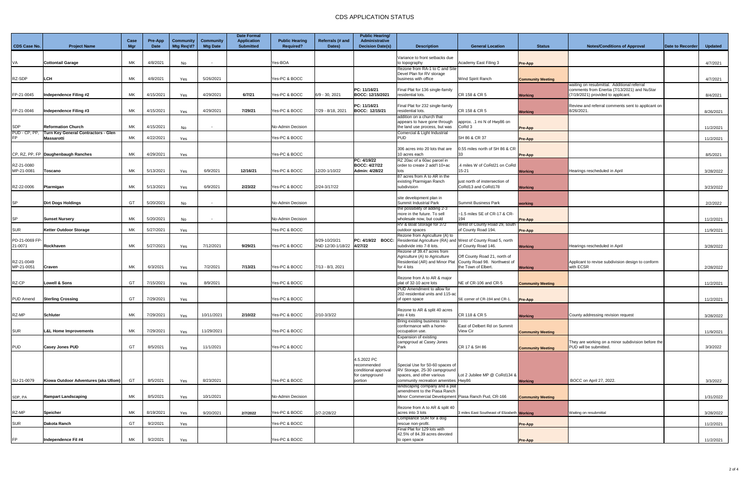|                     |                                                   |                    |                 |                         |                                     | <b>Date Formal</b>                     |                                           |                            | <b>Public Hearing/</b>                           |                                                                   |                                                      |                          |                                                                                    |                  |                |
|---------------------|---------------------------------------------------|--------------------|-----------------|-------------------------|-------------------------------------|----------------------------------------|-------------------------------------------|----------------------------|--------------------------------------------------|-------------------------------------------------------------------|------------------------------------------------------|--------------------------|------------------------------------------------------------------------------------|------------------|----------------|
| <b>CDS Case No.</b> | <b>Project Name</b>                               | Case<br><b>Mgr</b> | Pre-App<br>Date | Community<br>Mtg Req'd? | <b>Community</b><br><b>Mtg Date</b> | <b>Application</b><br><b>Submitted</b> | <b>Public Hearing</b><br><b>Required?</b> | Referrals (# and<br>Dates) | <b>Administrative</b><br><b>Decision Date(s)</b> | <b>Description</b>                                                | <b>General Location</b>                              | <b>Status</b>            | <b>Notes/Conditions of Approval</b>                                                | Date to Recorder | <b>Updated</b> |
|                     |                                                   |                    |                 |                         |                                     |                                        |                                           |                            |                                                  | Variance to front setbacks due                                    |                                                      |                          |                                                                                    |                  |                |
| /A                  | <b>Cottontail Garage</b>                          | <b>MK</b>          | 4/8/2021        | No                      |                                     |                                        | Yes-BOA                                   |                            |                                                  | to topography                                                     | Academy East Filing 3                                | Pre-App                  |                                                                                    |                  | 4/7/2021       |
|                     |                                                   |                    |                 |                         |                                     |                                        |                                           |                            |                                                  | Rezone from RA-1 to C and Site<br>Devel Plan for RV storage       |                                                      |                          |                                                                                    |                  |                |
| RZ-SDP              | LCH                                               | МK                 | 4/8/2021        | Yes                     | 5/26/2021                           |                                        | Yes-PC & BOCC                             |                            |                                                  | business with office                                              | Wind Spirit Ranch                                    | <b>Community Meeting</b> |                                                                                    |                  | 4/7/2021       |
|                     |                                                   |                    |                 |                         |                                     |                                        |                                           |                            |                                                  |                                                                   |                                                      |                          | waiting on resubmittal. Additional referral                                        |                  |                |
| FP-21-0045          | Independence Filing #2                            | МK                 | 4/15/2021       | Yes                     | 4/29/2021                           | 6/7/21                                 | Yes-PC & BOCC                             | 6/9 - 30, 2021             | PC: 11/16/21<br>BOCC: 12/15/2021                 | Final Plat for 136 single-family<br>residential lots.             | CR 158 & CR 5                                        | <b>Working</b>           | comments from Enertia (7/13/2021) and NuStar<br>(7/19/2021) provided to applicant. |                  | 8/4/2021       |
|                     |                                                   |                    |                 |                         |                                     |                                        |                                           |                            |                                                  |                                                                   |                                                      |                          |                                                                                    |                  |                |
|                     |                                                   |                    |                 |                         |                                     |                                        |                                           |                            | PC: 11/16/21                                     | Final Plat for 232 single-family                                  |                                                      |                          | Review and referral comments sent to applicant on                                  |                  |                |
| FP-21-0046          | Independence Filing #3                            | МK                 | 4/15/2021       | Yes                     | 4/29/2021                           | 7/29/21                                | Yes-PC & BOCC                             | 7/29 - 8/18, 2021          | BOCC: 12/15/21                                   | residential lots.<br>addition on a church that                    | CR 158 & CR 5                                        | <b>Working</b>           | 8/26/2021                                                                          |                  | 8/26/2021      |
|                     |                                                   |                    |                 |                         |                                     |                                        |                                           |                            |                                                  | appears to have gone through                                      | approx. .1 mi N of Hwy86 on                          |                          |                                                                                    |                  |                |
| SDP                 | <b>Reformation Church</b>                         | МK                 | 4/15/2021       | No                      |                                     |                                        | No-Admin Decision                         |                            |                                                  | the land use process, but was                                     | CoRd 3                                               | <b>Pre-App</b>           |                                                                                    |                  | 11/2/2021      |
| PUD - CP, PP,       | Turn Key General Contractors - Glen<br>Massarotti | МK                 | 4/22/2021       |                         |                                     |                                        | Yes-PC & BOCC                             |                            |                                                  | Comercial & Light Industrial<br><b>PUD</b>                        | SH 86 & CR 37                                        |                          |                                                                                    |                  |                |
|                     |                                                   |                    |                 | Yes                     |                                     |                                        |                                           |                            |                                                  |                                                                   |                                                      | Pre-App                  |                                                                                    |                  | 11/2/2021      |
|                     |                                                   |                    |                 |                         |                                     |                                        |                                           |                            |                                                  | 306 acres into 20 lots that are                                   | 0.55 miles north of SH 86 & CR                       |                          |                                                                                    |                  |                |
|                     | CP, RZ, PP, FP Daughenbaugh Ranches               | МK                 | 4/29/2021       | Yes                     |                                     |                                        | Yes-PC & BOCC                             |                            | PC: 4/19/22                                      | 10 acres each                                                     | 33                                                   | Pre-App                  |                                                                                    |                  | 8/5/2021       |
| RZ-21-0080          |                                                   |                    |                 |                         |                                     |                                        |                                           |                            | <b>BOCC: 4/27/22</b>                             | RZ 20ac of a 60ac parcel in<br>order to create 2 add'l 10+ac      | 4 miles W of CoRd21 on CoRd                          |                          |                                                                                    |                  |                |
| MP-21-0081          | Toscano                                           | МK                 | 5/13/2021       | Yes                     | 6/9/2021                            | 12/16/21                               | Yes-PC & BOCC                             | 12/20-1/10/22              | Admin: 4/28/22                                   | lots                                                              | 15-21                                                | <b>Working</b>           | Hearings rescheduled in April                                                      |                  | 3/28/2022      |
|                     |                                                   |                    |                 |                         |                                     |                                        |                                           |                            |                                                  | 87 acres from A to AR in the                                      |                                                      |                          |                                                                                    |                  |                |
| RZ-22-0006          | Ptarmigan                                         | МK                 | 5/13/2021       | Yes                     | 6/9/2021                            | 2/23/22                                | Yes-PC & BOCC                             | 2/24-3/17/22               |                                                  | existing Ptarmigan Ranch<br>subdivision                           | just north of instersection of<br>CoRd13 and CoRd178 | <b>Working</b>           |                                                                                    |                  | 3/23/2022      |
|                     |                                                   |                    |                 |                         |                                     |                                        |                                           |                            |                                                  |                                                                   |                                                      |                          |                                                                                    |                  |                |
|                     |                                                   |                    |                 |                         |                                     |                                        |                                           |                            |                                                  | site development plan in                                          |                                                      |                          |                                                                                    |                  |                |
| SP                  | <b>Dirt Dogs Holdings</b>                         | GT                 | 5/20/2021       | No                      |                                     |                                        | No-Admin Decision                         |                            |                                                  | Summit Industrial Park<br>the possibility of adding 2-3           | Summit Business Park                                 | working                  |                                                                                    |                  | 2/2/2022       |
|                     |                                                   |                    |                 |                         |                                     |                                        |                                           |                            |                                                  | more in the future. To sell                                       | -1.5 miles SE of CR-17 & CR-                         |                          |                                                                                    |                  |                |
| SP                  | <b>Sunset Nursery</b>                             | МK                 | 5/20/2021       | No                      |                                     |                                        | No-Admin Decision                         |                            |                                                  | wholesale now, but could                                          | 194                                                  | Pre-App                  |                                                                                    |                  | 11/2/2021      |
| SUR                 | <b>Ketter Outdoor Storage</b>                     | МK                 | 5/27/2021       | Yes                     |                                     |                                        | Yes-PC & BOCC                             |                            |                                                  | RV & Boat Storage for 372<br>outdoor spaces                       | West of County Road 29, south<br>of County Road 194. | Pre-App                  |                                                                                    |                  | 11/9/2021      |
|                     |                                                   |                    |                 |                         |                                     |                                        |                                           |                            |                                                  | Rezone from Agriculture (A) to                                    |                                                      |                          |                                                                                    |                  |                |
| PD-21-0069 FP-      |                                                   |                    |                 |                         |                                     |                                        |                                           | 9/29-10/20/21              | PC: 4/19/22 BOCC:                                | Residential Agriculture (RA) and West of County Road 5, north     |                                                      |                          |                                                                                    |                  |                |
| 21-0071             | Rockhaven                                         | МK                 | 5/27/2021       | Yes                     | 7/12/2021                           | 9/29/21                                | Yes-PC & BOCC                             | 2ND 12/30-1/18/22 4/27/22  |                                                  | subdivide into 7-8 lots<br>Rezone of 39.47 acres from             | of County Road 146.                                  | <b>Working</b>           | Hearings rescheduled in April                                                      |                  | 3/28/2022      |
|                     |                                                   |                    |                 |                         |                                     |                                        |                                           |                            |                                                  | Agriculture (A) to Agriculture                                    | Off County Road 21, north of                         |                          |                                                                                    |                  |                |
| RZ-21-0049          |                                                   |                    |                 |                         |                                     |                                        |                                           |                            |                                                  | Residential (AR) and Minor Plat   County Road 98. Northwest of    |                                                      |                          | Applicant to revise subdivision design to conform                                  |                  |                |
| MP-21-0051          | Craven                                            | МK                 | 6/3/2021        | Yes                     | 7/2/2021                            | 7/13/21                                | Yes-PC & BOCC                             | 7/13 - 8/3, 2021           |                                                  | for 4 lots                                                        | the Town of Elbert                                   | <b>Working</b>           | with ECSR                                                                          |                  | 2/28/2022      |
|                     |                                                   |                    |                 |                         |                                     |                                        |                                           |                            |                                                  | Rezone from A to AR & major                                       |                                                      |                          |                                                                                    |                  |                |
| RZ-CP               | <b>Lowell &amp; Sons</b>                          | GT                 | 7/15/2021       | Yes                     | 8/9/2021                            |                                        | Yes-PC & BOCC                             |                            |                                                  | plat of 32-10 acre lots                                           | NE of CR-106 and CR-5                                | <b>Community Meeting</b> |                                                                                    |                  | 11/2/2021      |
|                     |                                                   |                    |                 |                         |                                     |                                        |                                           |                            |                                                  | PUD Amendment to allow for<br>202-residential units and 115-ad    |                                                      |                          |                                                                                    |                  |                |
| PUD Amend           | <b>Sterling Crossing</b>                          | GT                 | 7/29/2021       | Yes                     |                                     |                                        | Yes-PC & BOCC                             |                            |                                                  | of open space                                                     | SE corner of CR-194 and CR-1.                        | Pre-App                  |                                                                                    |                  | 11/2/2021      |
|                     |                                                   |                    |                 |                         |                                     |                                        |                                           |                            |                                                  |                                                                   |                                                      |                          |                                                                                    |                  |                |
| RZ-MP               | <b>Schluter</b>                                   | МK                 | 7/29/2021       | Yes                     | 10/11/2021                          | 2/10/22                                | Yes-PC & BOCC                             | 2/10-3/3/22                |                                                  | Rezone to AR & split 40 acres<br>into 4 lots                      | CR 118 & CR 5                                        | <b>Working</b>           | County addressing revision request                                                 |                  | 3/28/2022      |
|                     |                                                   |                    |                 |                         |                                     |                                        |                                           |                            |                                                  | Bring existing business into                                      |                                                      |                          |                                                                                    |                  |                |
|                     |                                                   | МK                 |                 |                         |                                     |                                        | Yes-PC & BOCC                             |                            |                                                  | conformance with a home-                                          | East of Delbert Rd on Summit<br><b>View Cir</b>      |                          |                                                                                    |                  |                |
| SUR                 | <b>L&amp;L Home Improvements</b>                  |                    | 7/29/2021       | Yes                     | 11/29/2021                          |                                        |                                           |                            |                                                  | occupation use.<br>Expansion of existing                          |                                                      | <b>Community Meeting</b> |                                                                                    |                  | 11/9/2021      |
|                     |                                                   |                    |                 |                         |                                     |                                        |                                           |                            |                                                  | campgroud at Casey Jones                                          |                                                      |                          | They are working on a minor subdivision before the                                 |                  |                |
| <b>PUD</b>          | <b>Casey Jones PUD</b>                            | GT                 | 8/5/2021        | Yes                     | 11/1/2021                           |                                        | Yes-PC & BOCC                             |                            |                                                  | Park                                                              | CR 17 & SH 86                                        | <b>Community Meeting</b> | PUD will be submitted.                                                             |                  | 3/3/2022       |
|                     |                                                   |                    |                 |                         |                                     |                                        |                                           |                            | 4.5.2022 PC                                      |                                                                   |                                                      |                          |                                                                                    |                  |                |
|                     |                                                   |                    |                 |                         |                                     |                                        |                                           |                            | recommended                                      | Special Use for 50-60 spaces of                                   |                                                      |                          |                                                                                    |                  |                |
|                     |                                                   |                    |                 |                         |                                     |                                        |                                           |                            | conditional approval                             | RV Storage, 25-30 campground                                      |                                                      |                          |                                                                                    |                  |                |
| SU-21-0079          | Kiowa Outdoor Adventures (aka Ullom)              | GT                 | 8/5/2021        | Yes                     | 8/23/2021                           |                                        | Yes-PC & BOCC                             |                            | for campground<br>portion                        | spaces, and other various<br>community recreation amenities Hwy86 | Lot 2 Jubilee MP @ CoRd134 &                         |                          | BOCC on April 27, 2022.                                                            |                  | 3/3/2022       |
|                     |                                                   |                    |                 |                         |                                     |                                        |                                           |                            |                                                  | landscaping company and a plat                                    |                                                      | <b>Working</b>           |                                                                                    |                  |                |
|                     |                                                   |                    |                 |                         |                                     |                                        |                                           |                            |                                                  | amendment to the Piasa Ranch                                      |                                                      |                          |                                                                                    |                  |                |
| SDP, PA             | Rampart Landscaping                               | МK                 | 8/5/2021        | Yes                     | 10/1/2021                           |                                        | No-Admin Decision                         |                            |                                                  | Minor Commercial Development Piasa Ranch Pud, CR-166              |                                                      | <b>Community Meeting</b> |                                                                                    |                  | 1/31/2022      |
|                     |                                                   |                    |                 |                         |                                     |                                        |                                           |                            |                                                  | Rezone from A to AR & split 40                                    |                                                      |                          |                                                                                    |                  |                |
| RZ-MP               | <b>Speicher</b>                                   | <b>MK</b>          | 8/19/2021       | Yes                     | 9/20/2021                           | 2/7/2022                               | Yes-PC & BOCC                             | 2/7-2/28/22                |                                                  | acres into 3 lots                                                 | 3 miles East Southeast of Elizabeth Working          |                          | Waiting on resubmittal                                                             |                  | 3/28/2022      |
| SUR                 | Dakota Ranch                                      | GT                 | 9/2/2021        | Yes                     |                                     |                                        | Yes-PC & BOCC                             |                            |                                                  | Compliance SUR for a dog<br>rescue non-profit.                    |                                                      | <b>Pre-App</b>           |                                                                                    |                  | 11/2/2021      |
|                     |                                                   |                    |                 |                         |                                     |                                        |                                           |                            |                                                  | Final Plat for 129 lots with                                      |                                                      |                          |                                                                                    |                  |                |
|                     |                                                   |                    |                 |                         |                                     |                                        |                                           |                            |                                                  | 42.5% of 84.39 acres devoted                                      |                                                      |                          |                                                                                    |                  |                |
| FP.                 | Independence Fil #4                               | МK                 | 9/2/2021        | Yes                     |                                     |                                        | Yes-PC & BOCC                             |                            |                                                  | to open space                                                     |                                                      | <b>Pre-App</b>           |                                                                                    |                  | 11/2/2021      |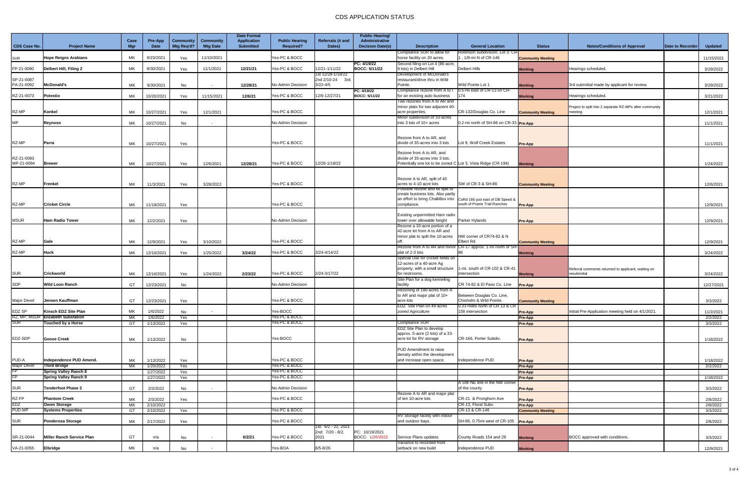|                          |                                      |             |                               |                         |                              | <b>Date Formal</b>                     |                                           |                                  | <b>Public Hearing/</b>                           |                                                                      |                                                               |                          |                                                                    |                         |                       |
|--------------------------|--------------------------------------|-------------|-------------------------------|-------------------------|------------------------------|----------------------------------------|-------------------------------------------|----------------------------------|--------------------------------------------------|----------------------------------------------------------------------|---------------------------------------------------------------|--------------------------|--------------------------------------------------------------------|-------------------------|-----------------------|
| <b>CDS Case No.</b>      | <b>Project Name</b>                  | Case<br>Mgr | <b>Pre-App</b><br><b>Date</b> | Community<br>Mtg Req'd? | Community<br><b>Mtg Date</b> | <b>Application</b><br><b>Submitted</b> | <b>Public Hearing</b><br><b>Required?</b> | Referrals (# and<br>Dates)       | <b>Administrative</b><br><b>Decision Date(s)</b> | <b>Description</b>                                                   | <b>General Location</b>                                       | <b>Status</b>            | <b>Notes/Conditions of Approval</b>                                | <b>Date to Recorder</b> | <b>Updated</b>        |
|                          |                                      |             |                               |                         |                              |                                        |                                           |                                  |                                                  | Compliance SUR to allow for                                          | Robinson subdivision, Lot 3: CR-                              |                          |                                                                    |                         |                       |
| <b>SUR</b>               | <b>Hope Reigns Arabians</b>          | МK          | 9/23/2021                     | Yes                     | 11/10/2021                   |                                        | Yes-PC & BOCC                             |                                  |                                                  | horse facility on 20 acres.                                          | , 1/8-mi N of CR-146                                          | <b>Community Meeting</b> |                                                                    |                         | 11/15/2021            |
| FP-21-0090               | Delbert Hill, Filing 2               | МK          | 9/30/2021                     | Yes                     | 11/1/2021                    | 12/21/21                               | Yes-PC & BOCC                             | 12/21-1/11/22                    | PC: 4/19/22<br>BOCC: 5/11/22                     | Second filing on Lot 4 (86-acre,<br>8 lots) in Delbert Hill          | <b>Delbert Hills</b>                                          | <b>Working</b>           | Hearings scheduled                                                 |                         | 3/29/2022             |
|                          |                                      |             |                               |                         |                              |                                        |                                           | 1st 12/28-1/18/22                |                                                  | Development of McDonald's                                            |                                                               |                          |                                                                    |                         |                       |
| SP-21-0087<br>PA-21-0092 | <b>McDonald's</b>                    | МK          | 9/30/2021                     | No                      |                              | 12/28/21                               | No-Admin Decision                         | 2nd 2/10-24 3rd:<br>$3/22 - 4/5$ |                                                  | restaurant/drive thru in Wild<br>Pointe.                             | Wild Pointe Lot 1                                             | <b>Working</b>           | 3rd submittal made by applicant for review.                        |                         | 3/29/2022             |
|                          |                                      |             |                               |                         |                              |                                        |                                           |                                  | PC: 4/19/22                                      | Compliance rezone from A to I                                        | 0.5-mi east of CR-13 on CR-                                   |                          |                                                                    |                         |                       |
| RZ-21-0073               | Potestio                             | МK          | 10/20/2021                    | Yes                     | 11/15/2021                   | 12/6/21                                | Yes-PC & BOCC                             | 12/6-12/27/21                    | <b>BOCC: 5/11/22</b>                             | for an existing auto business                                        | 174                                                           | <b>Working</b>           | Hearings scheduled                                                 |                         | 3/21/2022             |
|                          |                                      |             |                               |                         |                              |                                        |                                           |                                  |                                                  | Two rezones from A to AR and<br>minor plats for two adjacent 40-     |                                                               |                          | Project to split into 2 separate RZ-MPs after community            |                         |                       |
| RZ-MP                    | Konkel                               | МK          | 10/27/2021                    | Yes                     | 12/1/2021                    |                                        | Yes-PC & BOCC                             |                                  |                                                  | acre properties.                                                     | CR-132/Douglas Co. Line                                       | <b>Community Meeting</b> | meeting                                                            |                         | 12/1/2021             |
| ИP                       | Reynoso                              |             |                               |                         |                              |                                        | No-Admin Decision                         |                                  |                                                  | Minor subdivision of 33-acres<br>into 3 lots of 10+ acres            | 0.2-mi north of SH-86 on CR-33 Pre-App                        |                          |                                                                    |                         |                       |
|                          |                                      | МK          | 10/27/2021                    | No                      |                              |                                        |                                           |                                  |                                                  |                                                                      |                                                               |                          |                                                                    |                         | 11/1/2021             |
|                          |                                      |             |                               |                         |                              |                                        |                                           |                                  |                                                  |                                                                      |                                                               |                          |                                                                    |                         |                       |
| RZ-MP                    | Parra                                | МK          | 10/27/2021                    | Yes                     |                              |                                        | Yes-PC & BOCC                             |                                  |                                                  | Rezone from A to AR, and<br>divide of 35-acres into 3 lots           | Lot 9, Wolf Creek Estates                                     | Pre-App                  |                                                                    |                         | 11/1/2021             |
|                          |                                      |             |                               |                         |                              |                                        |                                           |                                  |                                                  |                                                                      |                                                               |                          |                                                                    |                         |                       |
| RZ-21-0093               |                                      |             |                               |                         |                              |                                        |                                           |                                  |                                                  | Rezone from A to AR, and<br>divide of 35-acres into 3 lots.          |                                                               |                          |                                                                    |                         |                       |
| MP-21-0094               | <b>Brewer</b>                        | МK          | 10/27/2021                    | Yes                     | 12/6/2021                    | 12/28/21                               | Yes-PC & BOCC                             | 12/28-1/18/22                    |                                                  | Potentially one lot to be zoned C Lot 3, Vista Ridge (CR-194)        |                                                               | <b>Working</b>           |                                                                    |                         | 1/24/2022             |
|                          |                                      |             |                               |                         |                              |                                        |                                           |                                  |                                                  |                                                                      |                                                               |                          |                                                                    |                         |                       |
|                          |                                      |             |                               |                         |                              |                                        |                                           |                                  |                                                  | Rezone A to AR, split of 40                                          |                                                               |                          |                                                                    |                         |                       |
| RZ-MP                    | Frenkel                              | МK          | 11/3/2021                     | Yes                     | 3/28/2022                    |                                        | Yes-PC & BOCC                             |                                  |                                                  | acres to 4-10 acre lots                                              | SW of CR-3 & SH-86                                            | <b>Community Meeting</b> |                                                                    |                         | 12/6/2021             |
|                          |                                      |             |                               |                         |                              |                                        |                                           |                                  |                                                  | ossible rezone and lot split to<br>create business lots. Also partly |                                                               |                          |                                                                    |                         |                       |
|                          |                                      |             |                               |                         |                              |                                        |                                           |                                  |                                                  | an effort to bring ChalkBox into CoRd 166 just east of DB Speed &    |                                                               |                          |                                                                    |                         |                       |
| RZ-MP                    | <b>Cricket Circle</b>                | МK          | 11/18/2021                    | Yes                     |                              |                                        | Yes-PC & BOCC                             |                                  |                                                  | compliance.                                                          | south of Prairie Trail Ranches                                | <b>Pre-App</b>           |                                                                    |                         | 12/9/2021             |
|                          |                                      |             |                               |                         |                              |                                        |                                           |                                  |                                                  | Existing unpermitted Ham radio                                       |                                                               |                          |                                                                    |                         |                       |
| MSUR                     | <b>Ham Radio Tower</b>               | МK          | 12/2/2021                     | Yes                     |                              |                                        | No-Admin Decision                         |                                  |                                                  | tower over allowable height                                          | Parker Hylands                                                | Pre-App                  |                                                                    |                         | 12/9/2021             |
|                          |                                      |             |                               |                         |                              |                                        |                                           |                                  |                                                  | Rezone a 10-acre portion of a<br>42-acre lot from A to AR and        |                                                               |                          |                                                                    |                         |                       |
|                          |                                      |             |                               |                         |                              |                                        |                                           |                                  |                                                  | minor plat to split the 10-acres                                     | NW corner of CR74-82 & N                                      |                          |                                                                    |                         |                       |
| RZ-MP                    | Gale                                 | MK          | 12/9/2021                     | Yes                     | 3/10/2022                    |                                        | Yes-PC & BOCC                             |                                  |                                                  |                                                                      | <b>Elbert Rd</b>                                              | <b>Community Meeting</b> |                                                                    |                         | 12/9/2021             |
| RZ-MP                    | Huck                                 | МK          | 12/16/2021                    | Yes                     | 1/25/2022                    | 3/24/22                                | Yes-PC & BOCC                             | 3/24-4/14/22                     |                                                  | plat of 2-3 lots                                                     | Rezone from A to AR and minor CR-17 approx. 1-mi north of SH- | <b>Working</b>           |                                                                    |                         | 3/24/2022             |
|                          |                                      |             |                               |                         |                              |                                        |                                           |                                  |                                                  | Special Use for cricket fields on                                    |                                                               |                          |                                                                    |                         |                       |
|                          |                                      |             |                               |                         |                              |                                        |                                           |                                  |                                                  | 12-acres of a 40-acre Ag                                             |                                                               |                          |                                                                    |                         |                       |
| <b>SUR</b>               | <b>Crickworld</b>                    | МK          | 12/16/2021                    | Yes                     | 1/24/2022                    | 2/23/22                                | Yes-PC & BOCC                             | 2/24-3/17/22                     |                                                  | property, with a small structure<br>for restrooms.                   | 1-mi. south of CR-102 & CR-41<br>intersection                 | <b>Working</b>           | Referral comments returned to applicant, waiting on<br>resubmittal |                         | 3/24/2022             |
|                          |                                      |             |                               |                         |                              |                                        |                                           |                                  |                                                  | Site Plan for a dog kenneling                                        |                                                               |                          |                                                                    |                         |                       |
| SDP                      | Wild Loon Ranch                      | GT          | 12/23/2021                    | No                      |                              |                                        | No-Admin Decision                         |                                  |                                                  | facility                                                             | CR 74-82 & El Paso Co. Line                                   | <b>Pre-App</b>           |                                                                    |                         | 12/27/2021            |
|                          |                                      |             |                               |                         |                              |                                        |                                           |                                  |                                                  | Rezoning of 180-acres from A<br>to AR and major plat of 10+          | Between Douglas Co. Line,                                     |                          |                                                                    |                         |                       |
| Major Devel              | Jensen Kauffman                      | GT          | 12/23/2021                    | Yes                     |                              |                                        | Yes-PC & BOCC                             |                                  |                                                  | acre lots                                                            | Chisholm & Wild Pointe.                                       | <b>Community Meeting</b> |                                                                    |                         | 3/3/2022              |
| EDZ SP                   | Kinsch EDZ Site Plan                 | МK          | 1/6/2022                      |                         |                              |                                        | Yes-BOCC                                  |                                  |                                                  | EDZ Site Plan on 49 acres<br>zoned Agriculture                       | 10.33 miles north of CR 13 & CR<br>158 intersection           |                          | Initial Pre-Application meeting held on 4/1/2021.                  |                         |                       |
|                          | RZ, MP, MSUR   Elizabeth Substation  | МK          | 1/6/2022                      | No<br>Yes               |                              |                                        | Yes-PC & BOCC                             |                                  |                                                  |                                                                      |                                                               | Pre-App<br>Pre-App       |                                                                    |                         | 11/2/2021<br>2/2/2022 |
| $\overline{\text{SUR}}$  | Touched by a Horse                   | GT          | 1/13/2022                     | Yes                     |                              |                                        | Yes-PC & BOCC                             |                                  |                                                  | Compliance SUR                                                       |                                                               | <b>Pre-App</b>           |                                                                    |                         | 3/3/2022              |
|                          |                                      |             |                               |                         |                              |                                        |                                           |                                  |                                                  | EDZ Site Plan to develop                                             |                                                               |                          |                                                                    |                         |                       |
| EDZ-SDP                  | <b>Goose Creek</b>                   | МK          | 1/13/2022                     | No                      |                              |                                        | Yes-BOCC                                  |                                  |                                                  | approx. 5-acre (2 lots) of a 33-<br>acre lot for RV storage          | CR-166, Porter Subdiv.                                        | <b>Pre-App</b>           |                                                                    |                         | 1/18/2022             |
|                          |                                      |             |                               |                         |                              |                                        |                                           |                                  |                                                  |                                                                      |                                                               |                          |                                                                    |                         |                       |
|                          |                                      |             |                               |                         |                              |                                        |                                           |                                  |                                                  | PUD Amendment to raise<br>density within the development             |                                                               |                          |                                                                    |                         |                       |
| PUD-A                    | Independence PUD Amend.              | МK          | 1/13/2022                     | Yes                     |                              |                                        | Yes-PC & BOCC                             |                                  |                                                  | and increase open space.                                             | Independence PUD                                              | Pre-App                  |                                                                    |                         | 1/18/2022             |
| Major Devel              | <b>Third Bridge</b>                  | МK          | 1/20/2022                     | Yes                     |                              |                                        | Yes-PC & BOCC                             |                                  |                                                  |                                                                      |                                                               | Pre-App                  |                                                                    |                         | 2/2/2022              |
|                          | Spring Valley Ranch 8                |             | 1/27/2022                     | Yes                     |                              |                                        | Yes-PC & BOCC                             |                                  |                                                  |                                                                      |                                                               | Pre-App                  |                                                                    |                         |                       |
|                          | <b>Spring Valley Ranch 9</b>         |             | 1/27/2022                     | Yes                     |                              |                                        | Yes-PC & BOCC                             |                                  |                                                  |                                                                      | A SW-NE line in the NW corner                                 | Pre-App                  |                                                                    |                         | 1/18/2022             |
| SUR                      | <b>Tenderfoot Phase 2</b>            | GT          | 2/3/2022                      | No                      |                              |                                        | No-Admin Decision                         |                                  |                                                  |                                                                      | of the county                                                 | Pre-App                  |                                                                    |                         | 3/3/2022              |
|                          |                                      |             |                               |                         |                              |                                        |                                           |                                  |                                                  | Rezone A to AR and major plat                                        |                                                               |                          |                                                                    |                         |                       |
| RZ-FP<br>EDZ             | <b>Phantom Creek</b><br>Owen Storage | МK<br>МK    | 2/3/2022<br>2/10/2022         | Yes                     |                              |                                        | Yes-PC & BOCC                             |                                  |                                                  | of ten 10-acre lots                                                  | CR-21 & Pronghorn Ave<br>CR-13, Floral Subv.                  | Pre-App<br>Pre-App       |                                                                    |                         | 2/8/2022<br>2/8/2022  |
| PUD-MP                   | <b>Systems Properties</b>            | GT          | 2/10/2022                     | Yes                     |                              |                                        | Yes-PC & BOCC                             |                                  |                                                  |                                                                      | CR-13 & CR-146                                                | <b>Community Meeting</b> |                                                                    |                         | 3/3/2022              |
|                          |                                      |             |                               |                         |                              |                                        |                                           |                                  |                                                  | RV Storage facility with indoor                                      |                                                               |                          |                                                                    |                         |                       |
| SUR                      | Ponderosa Storage                    | МK          | 2/17/2022                     | Yes                     |                              |                                        | Yes-PC & BOCC                             | 1st: 6/2 - 22, 2021              |                                                  | and outdoor bays.                                                    | SH-86, 0.75mi west of CR-105 Pre-App                          |                          |                                                                    |                         | 2/8/2022              |
|                          |                                      |             |                               |                         |                              |                                        |                                           | 2nd: 7/20 - 8/2,                 | PC: 10/19/2021                                   |                                                                      |                                                               |                          |                                                                    |                         |                       |
| SR-21-0044               | Miller Ranch Service Plan            | GT          | n/a                           | No                      |                              | 6/2/21                                 | Yes-PC & BOCC                             | 2021                             | BOCC: 1/26/2022                                  | Service Plans updates                                                | County Roads 154 and 29                                       | <b>Working</b>           | BOCC approved with conditions.                                     |                         | 3/3/2022              |
| VA-21-0055               | Elbridge                             | МK          | n/a                           |                         |                              |                                        | Yes-BOA                                   | $8/5 - 8/26$                     |                                                  | Variance to recorded front<br>setback on new build                   | Independence PUD                                              |                          |                                                                    |                         |                       |
|                          |                                      |             |                               | No                      |                              |                                        |                                           |                                  |                                                  |                                                                      |                                                               | <b>Working</b>           |                                                                    |                         | 12/9/2021             |